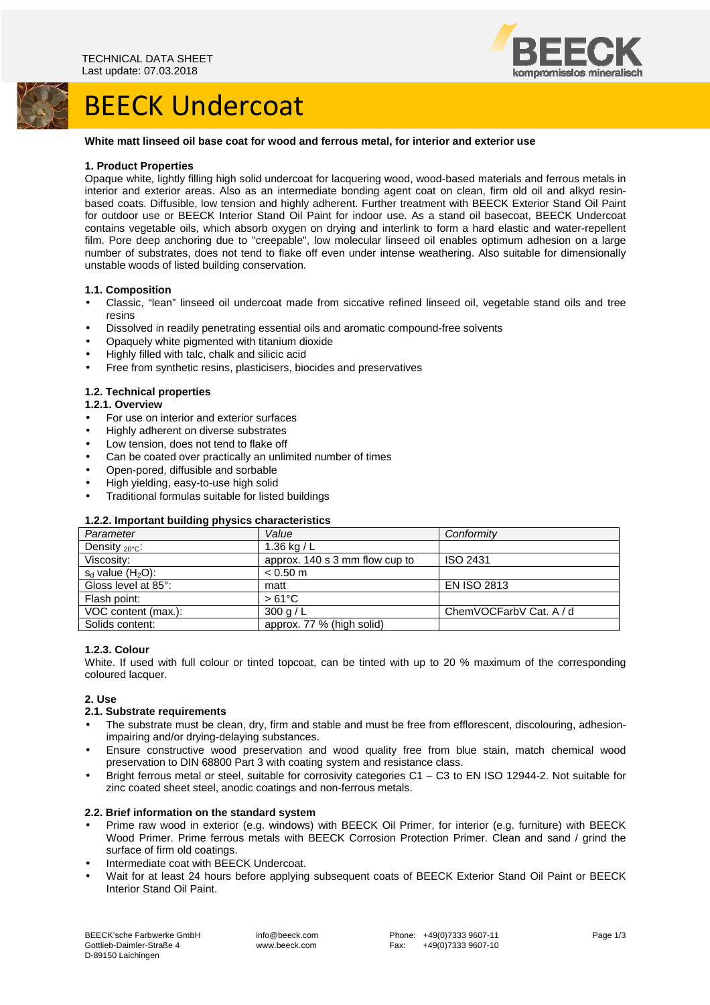## BEECK Undercoat



#### **White matt linseed oil base coat for wood and ferrous metal, for interior and exterior use**

#### **1. Product Properties**

Opaque white, lightly filling high solid undercoat for lacquering wood, wood-based materials and ferrous metals in interior and exterior areas. Also as an intermediate bonding agent coat on clean, firm old oil and alkyd resinbased coats. Diffusible, low tension and highly adherent. Further treatment with BEECK Exterior Stand Oil Paint for outdoor use or BEECK Interior Stand Oil Paint for indoor use. As a stand oil basecoat, BEECK Undercoat contains vegetable oils, which absorb oxygen on drying and interlink to form a hard elastic and water-repellent film. Pore deep anchoring due to "creepable", low molecular linseed oil enables optimum adhesion on a large number of substrates, does not tend to flake off even under intense weathering. Also suitable for dimensionally unstable woods of listed building conservation.

#### **1.1. Composition**

- Classic, "lean" linseed oil undercoat made from siccative refined linseed oil, vegetable stand oils and tree resins
- Dissolved in readily penetrating essential oils and aromatic compound-free solvents
- Opaquely white pigmented with titanium dioxide
- Highly filled with talc, chalk and silicic acid
- Free from synthetic resins, plasticisers, biocides and preservatives

#### **1.2. Technical properties**

#### **1.2.1. Overview**

- For use on interior and exterior surfaces
- Highly adherent on diverse substrates
- Low tension, does not tend to flake off
- Can be coated over practically an unlimited number of times
- Open-pored, diffusible and sorbable
- High yielding, easy-to-use high solid
- Traditional formulas suitable for listed buildings

#### **1.2.2. Important building physics characteristics**

| Parameter               | Value                          | Conformity              |
|-------------------------|--------------------------------|-------------------------|
| Density $20^{\circ}$ C: | 1.36 kg / $L$                  |                         |
| Viscosity:              | approx. 140 s 3 mm flow cup to | ISO 2431                |
| $s_d$ value $(H_2O)$ :  | $< 0.50$ m                     |                         |
| Gloss level at 85°:     | matt                           | <b>EN ISO 2813</b>      |
| Flash point:            | $>61^{\circ}$ C                |                         |
| VOC content (max.):     | 300 g/L                        | ChemVOCFarbV Cat. A / d |
| Solids content:         | approx. 77 % (high solid)      |                         |

#### **1.2.3. Colour**

White. If used with full colour or tinted topcoat, can be tinted with up to 20 % maximum of the corresponding coloured lacquer.

#### **2. Use**

#### **2.1. Substrate requirements**

- The substrate must be clean, dry, firm and stable and must be free from efflorescent, discolouring, adhesionimpairing and/or drying-delaying substances.
- Ensure constructive wood preservation and wood quality free from blue stain, match chemical wood preservation to DIN 68800 Part 3 with coating system and resistance class.
- Bright ferrous metal or steel, suitable for corrosivity categories C1 C3 to EN ISO 12944-2. Not suitable for zinc coated sheet steel, anodic coatings and non-ferrous metals.

#### **2.2. Brief information on the standard system**

- Prime raw wood in exterior (e.g. windows) with BEECK Oil Primer, for interior (e.g. furniture) with BEECK Wood Primer. Prime ferrous metals with BEECK Corrosion Protection Primer. Clean and sand / grind the surface of firm old coatings.
- Intermediate coat with BEECK Undercoat.
- Wait for at least 24 hours before applying subsequent coats of BEECK Exterior Stand Oil Paint or BEECK Interior Stand Oil Paint.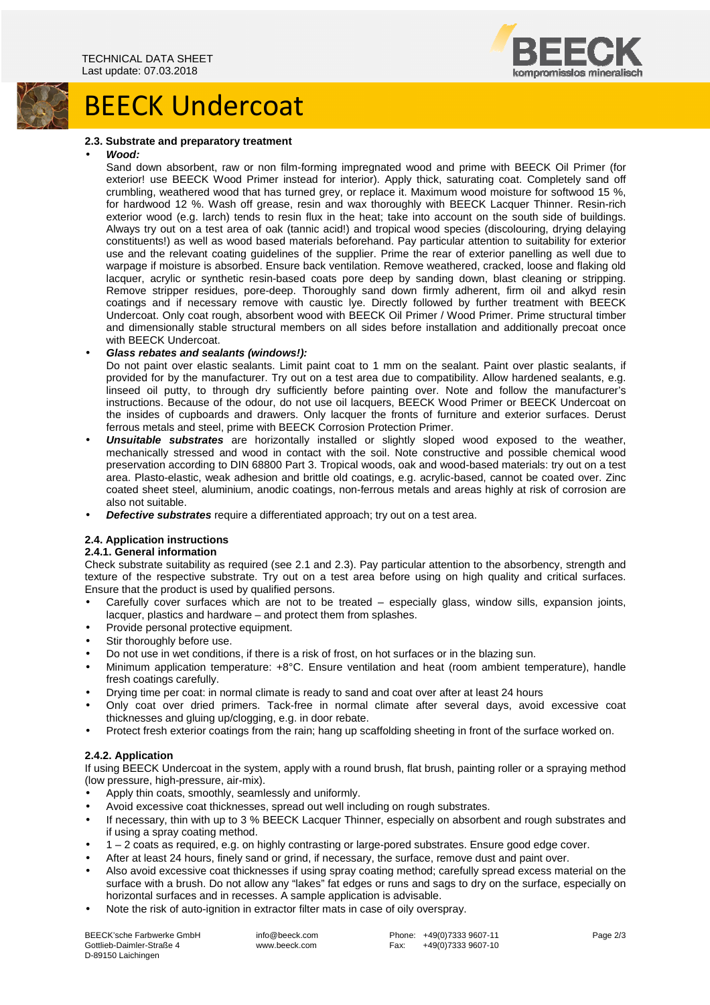

### **2.3. Substrate and preparatory treatment**

BEECK Undercoat

#### • **Wood:**

Sand down absorbent, raw or non film-forming impregnated wood and prime with BEECK Oil Primer (for exterior! use BEECK Wood Primer instead for interior). Apply thick, saturating coat. Completely sand off crumbling, weathered wood that has turned grey, or replace it. Maximum wood moisture for softwood 15 %, for hardwood 12 %. Wash off grease, resin and wax thoroughly with BEECK Lacquer Thinner. Resin-rich exterior wood (e.g. larch) tends to resin flux in the heat; take into account on the south side of buildings. Always try out on a test area of oak (tannic acid!) and tropical wood species (discolouring, drying delaying constituents!) as well as wood based materials beforehand. Pay particular attention to suitability for exterior use and the relevant coating guidelines of the supplier. Prime the rear of exterior panelling as well due to warpage if moisture is absorbed. Ensure back ventilation. Remove weathered, cracked, loose and flaking old lacquer, acrylic or synthetic resin-based coats pore deep by sanding down, blast cleaning or stripping. Remove stripper residues, pore-deep. Thoroughly sand down firmly adherent, firm oil and alkyd resin coatings and if necessary remove with caustic lye. Directly followed by further treatment with BEECK Undercoat. Only coat rough, absorbent wood with BEECK Oil Primer / Wood Primer. Prime structural timber and dimensionally stable structural members on all sides before installation and additionally precoat once with BEECK Undercoat.

### • **Glass rebates and sealants (windows!):**

Do not paint over elastic sealants. Limit paint coat to 1 mm on the sealant. Paint over plastic sealants, if provided for by the manufacturer. Try out on a test area due to compatibility. Allow hardened sealants, e.g. linseed oil putty, to through dry sufficiently before painting over. Note and follow the manufacturer's instructions. Because of the odour, do not use oil lacquers, BEECK Wood Primer or BEECK Undercoat on the insides of cupboards and drawers. Only lacquer the fronts of furniture and exterior surfaces. Derust ferrous metals and steel, prime with BEECK Corrosion Protection Primer.

- **Unsuitable substrates** are horizontally installed or slightly sloped wood exposed to the weather, mechanically stressed and wood in contact with the soil. Note constructive and possible chemical wood preservation according to DIN 68800 Part 3. Tropical woods, oak and wood-based materials: try out on a test area. Plasto-elastic, weak adhesion and brittle old coatings, e.g. acrylic-based, cannot be coated over. Zinc coated sheet steel, aluminium, anodic coatings, non-ferrous metals and areas highly at risk of corrosion are also not suitable.
- **Defective substrates** require a differentiated approach; try out on a test area.

### **2.4. Application instructions**

### **2.4.1. General information**

Check substrate suitability as required (see 2.1 and 2.3). Pay particular attention to the absorbency, strength and texture of the respective substrate. Try out on a test area before using on high quality and critical surfaces. Ensure that the product is used by qualified persons.

- Carefully cover surfaces which are not to be treated especially glass, window sills, expansion joints, lacquer, plastics and hardware – and protect them from splashes.
- Provide personal protective equipment.
- Stir thoroughly before use.
- Do not use in wet conditions, if there is a risk of frost, on hot surfaces or in the blazing sun.
- Minimum application temperature: +8°C. Ensure ventilation and heat (room ambient temperature), handle fresh coatings carefully.
- Drying time per coat: in normal climate is ready to sand and coat over after at least 24 hours
- Only coat over dried primers. Tack-free in normal climate after several days, avoid excessive coat thicknesses and gluing up/clogging, e.g. in door rebate.
- Protect fresh exterior coatings from the rain; hang up scaffolding sheeting in front of the surface worked on.

### **2.4.2. Application**

If using BEECK Undercoat in the system, apply with a round brush, flat brush, painting roller or a spraying method (low pressure, high-pressure, air-mix).

- Apply thin coats, smoothly, seamlessly and uniformly.
- Avoid excessive coat thicknesses, spread out well including on rough substrates.
- If necessary, thin with up to 3 % BEECK Lacquer Thinner, especially on absorbent and rough substrates and if using a spray coating method.
- 1 2 coats as required, e.g. on highly contrasting or large-pored substrates. Ensure good edge cover.
- After at least 24 hours, finely sand or grind, if necessary, the surface, remove dust and paint over.
- Also avoid excessive coat thicknesses if using spray coating method; carefully spread excess material on the surface with a brush. Do not allow any "lakes" fat edges or runs and sags to dry on the surface, especially on horizontal surfaces and in recesses. A sample application is advisable.
- Note the risk of auto-ignition in extractor filter mats in case of oily overspray.